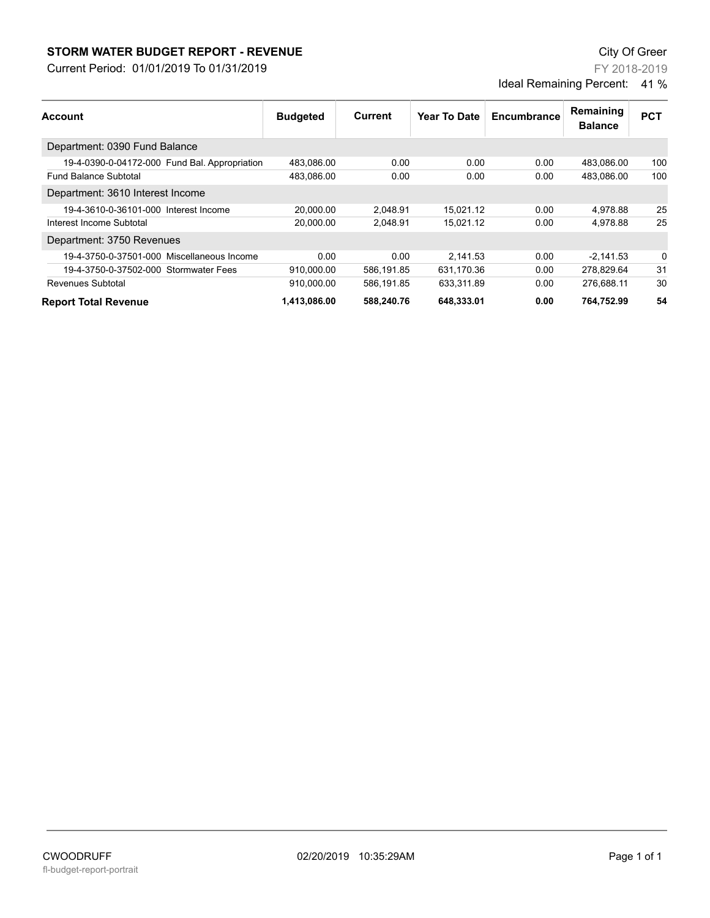## **STORM WATER BUDGET REPORT - REVENUE CONSUMPTER BUDGET REPORT - REVENUE**

Current Period: 01/01/2019 To 01/31/2019

FY 2018-2019 Ideal Remaining Percent: 41 %

| Account                                       | <b>Budgeted</b> | Current    | Year To Date | Encumbrance | Remaining<br><b>Balance</b> | <b>PCT</b> |
|-----------------------------------------------|-----------------|------------|--------------|-------------|-----------------------------|------------|
|                                               |                 |            |              |             |                             |            |
| 19-4-0390-0-04172-000 Fund Bal. Appropriation | 483.086.00      | 0.00       | 0.00         | 0.00        | 483,086.00                  | 100        |
| <b>Fund Balance Subtotal</b>                  | 483.086.00      | 0.00       | 0.00         | 0.00        | 483.086.00                  | 100        |
| Department: 3610 Interest Income              |                 |            |              |             |                             |            |
| 19-4-3610-0-36101-000 Interest Income         | 20,000.00       | 2.048.91   | 15.021.12    | 0.00        | 4,978.88                    | 25         |
| Interest Income Subtotal                      | 20,000.00       | 2,048.91   | 15.021.12    | 0.00        | 4.978.88                    | 25         |
| Department: 3750 Revenues                     |                 |            |              |             |                             |            |
| 19-4-3750-0-37501-000 Miscellaneous Income    | 0.00            | 0.00       | 2.141.53     | 0.00        | $-2,141.53$                 | 0          |
| 19-4-3750-0-37502-000 Stormwater Fees         | 910.000.00      | 586.191.85 | 631.170.36   | 0.00        | 278.829.64                  | 31         |
| Revenues Subtotal                             | 910,000.00      | 586,191.85 | 633,311.89   | 0.00        | 276.688.11                  | 30         |
| <b>Report Total Revenue</b>                   | 1,413,086.00    | 588,240.76 | 648,333.01   | 0.00        | 764.752.99                  | 54         |